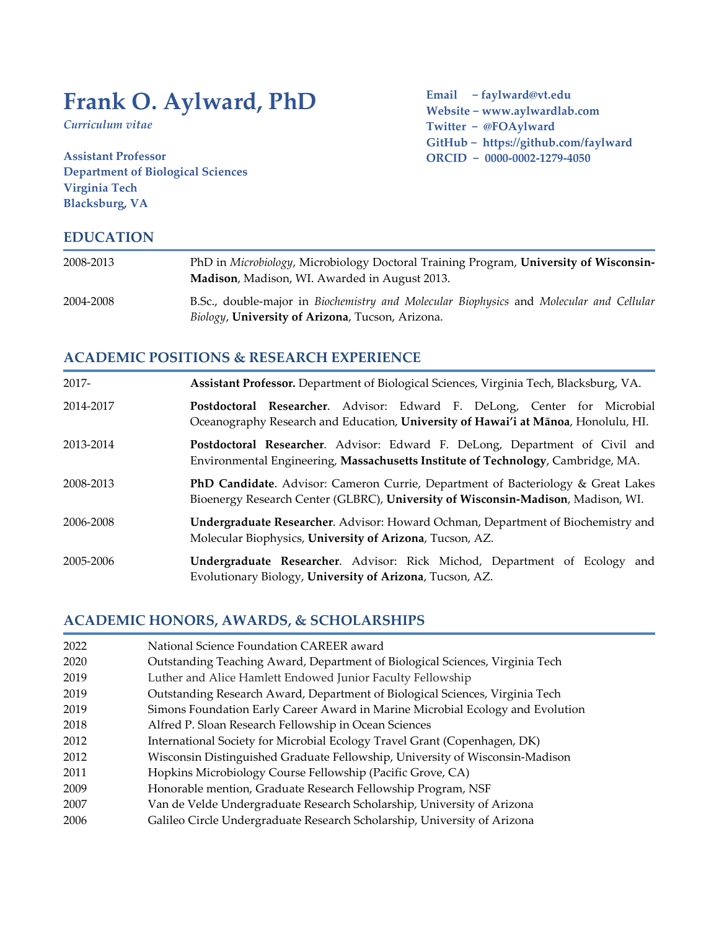# **Frank O. Aylward, PhD**

*Curriculum vitae*

**Assistant Professor Department of Biological Sciences Virginia Tech Blacksburg, VA**

**Email − faylward@vt.edu Website − www.aylwardlab.com Twitter − @FOAylward GitHub − https://github.com/faylward ORCID − 0000-0002-1279-4050**

## **EDUCATION**

| 2008-2013 | PhD in Microbiology, Microbiology Doctoral Training Program, University of Wisconsin-<br>Madison, Madison, WI. Awarded in August 2013.                    |
|-----------|-----------------------------------------------------------------------------------------------------------------------------------------------------------|
| 2004-2008 | B.Sc., double-major in <i>Biochemistry and Molecular Biophysics</i> and <i>Molecular and Cellular</i><br>Biology, University of Arizona, Tucson, Arizona. |

## **ACADEMIC POSITIONS & RESEARCH EXPERIENCE**

| $2017 -$  | Assistant Professor. Department of Biological Sciences, Virginia Tech, Blacksburg, VA.                                                                               |
|-----------|----------------------------------------------------------------------------------------------------------------------------------------------------------------------|
| 2014-2017 | Postdoctoral Researcher. Advisor: Edward F. DeLong, Center for Microbial<br>Oceanography Research and Education, University of Hawai'i at Mānoa, Honolulu, HI.       |
| 2013-2014 | Postdoctoral Researcher. Advisor: Edward F. DeLong, Department of Civil and<br>Environmental Engineering, Massachusetts Institute of Technology, Cambridge, MA.      |
| 2008-2013 | PhD Candidate. Advisor: Cameron Currie, Department of Bacteriology & Great Lakes<br>Bioenergy Research Center (GLBRC), University of Wisconsin-Madison, Madison, WI. |
| 2006-2008 | <b>Undergraduate Researcher.</b> Advisor: Howard Ochman, Department of Biochemistry and<br>Molecular Biophysics, University of Arizona, Tucson, AZ.                  |
| 2005-2006 | Undergraduate Researcher. Advisor: Rick Michod, Department of Ecology and<br>Evolutionary Biology, University of Arizona, Tucson, AZ.                                |

## **ACADEMIC HONORS, AWARDS, & SCHOLARSHIPS**

| 2022 | National Science Foundation CAREER award                                       |
|------|--------------------------------------------------------------------------------|
| 2020 | Outstanding Teaching Award, Department of Biological Sciences, Virginia Tech   |
| 2019 | Luther and Alice Hamlett Endowed Junior Faculty Fellowship                     |
| 2019 | Outstanding Research Award, Department of Biological Sciences, Virginia Tech   |
| 2019 | Simons Foundation Early Career Award in Marine Microbial Ecology and Evolution |
| 2018 | Alfred P. Sloan Research Fellowship in Ocean Sciences                          |
| 2012 | International Society for Microbial Ecology Travel Grant (Copenhagen, DK)      |
| 2012 | Wisconsin Distinguished Graduate Fellowship, University of Wisconsin-Madison   |
| 2011 | Hopkins Microbiology Course Fellowship (Pacific Grove, CA)                     |
| 2009 | Honorable mention, Graduate Research Fellowship Program, NSF                   |
| 2007 | Van de Velde Undergraduate Research Scholarship, University of Arizona         |
| 2006 | Galileo Circle Undergraduate Research Scholarship, University of Arizona       |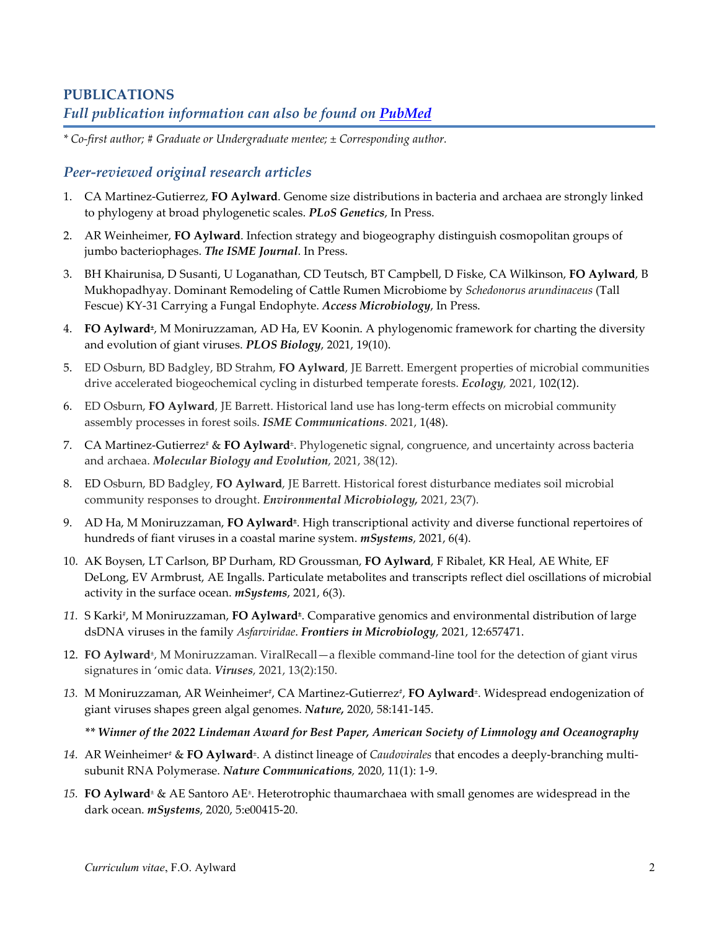# **PUBLICATIONS** *Full publication information can also be found on [PubMed](https://pubmed.ncbi.nlm.nih.gov/?term=aylward+fo&sort=date)*

*\* Co-first author; # Graduate or Undergraduate mentee; ± Corresponding author.*

## *Peer-reviewed original research articles*

- 1. CA Martinez-Gutierrez, **FO Aylward**. Genome size distributions in bacteria and archaea are strongly linked to phylogeny at broad phylogenetic scales. *PLoS Genetics*, In Press.
- 2. AR Weinheimer, **FO Aylward**. Infection strategy and biogeography distinguish cosmopolitan groups of jumbo bacteriophages. *The ISME Journal*. In Press.
- 3. BH Khairunisa, D Susanti, U Loganathan, CD Teutsch, BT Campbell, D Fiske, CA Wilkinson, **FO Aylward**, B Mukhopadhyay. Dominant Remodeling of Cattle Rumen Microbiome by *Schedonorus arundinaceus* (Tall Fescue) KY-31 Carrying a Fungal Endophyte. *Access Microbiology*, In Press.
- 4. **FO Aylward***±*, M Moniruzzaman, AD Ha, EV Koonin. A phylogenomic framework for charting the diversity and evolution of giant viruses. *PLOS Biology*, 2021, 19(10).
- 5. ED Osburn, BD Badgley, BD Strahm, **FO Aylward**, JE Barrett. Emergent properties of microbial communities drive accelerated biogeochemical cycling in disturbed temperate forests. *Ecology,* 2021, 102(12).
- 6. ED Osburn, **FO Aylward**, JE Barrett. Historical land use has long-term effects on microbial community assembly processes in forest soils. *ISME Communications*. 2021, 1(48).
- 7. CA Martinez-Gutierrez<sup>#</sup> & FO Aylward<sup>±</sup>. Phylogenetic signal, congruence, and uncertainty across bacteria and archaea. *Molecular Biology and Evolution*, 2021, 38(12).
- 8. ED Osburn, BD Badgley, **FO Aylward**, JE Barrett. Historical forest disturbance mediates soil microbial community responses to drought. *Environmental Microbiology,* 2021, 23(7).
- 9. AD Ha, M Moniruzzaman, **FO Aylward***±*. High transcriptional activity and diverse functional repertoires of hundreds of fiant viruses in a coastal marine system. *mSystems*, 2021, 6(4).
- 10. AK Boysen, LT Carlson, BP Durham, RD Groussman, **FO Aylward**, F Ribalet, KR Heal, AE White, EF DeLong, EV Armbrust, AE Ingalls. Particulate metabolites and transcripts reflect diel oscillations of microbial activity in the surface ocean. *mSystems*, 2021, 6(3).
- *11.* S Karki#, M Moniruzzaman, **FO Aylward***±*. Comparative genomics and environmental distribution of large dsDNA viruses in the family *Asfarviridae*. *Frontiers in Microbiology*, 2021, 12:657471.
- 12. **FO Aylward***±*, M Moniruzzaman. ViralRecall—a flexible command-line tool for the detection of giant virus signatures in 'omic data. *Viruses*, 2021, 13(2):150.
- 13. M Moniruzzaman, AR Weinheimer<sup>#</sup>, CA Martinez-Gutierrez<sup>#</sup>, **FO Aylward**<sup>±</sup>. Widespread endogenization of giant viruses shapes green algal genomes. *Nature,* 2020, 58:141-145.

*\*\* Winner of the 2022 Lindeman Award for Best Paper, American Society of Limnology and Oceanography*

- *14.* AR Weinheimer# & **FO Aylward***±*. A distinct lineage of *Caudovirales* that encodes a deeply-branching multisubunit RNA Polymerase. *Nature Communications,* 2020, 11(1): 1-9.
- *15.* **FO Aylward***<sup>±</sup>* & AE Santoro AE*±*. Heterotrophic thaumarchaea with small genomes are widespread in the dark ocean. *mSystems*, 2020, 5:e00415-20.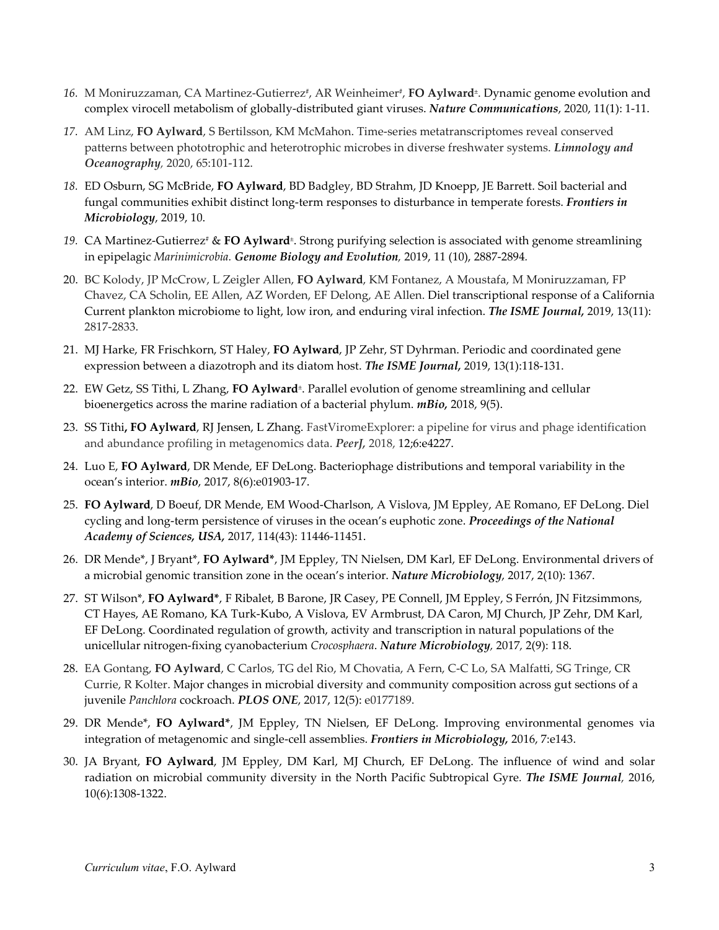- 16. M Moniruzzaman, CA Martinez-Gutierrez<sup>#</sup>, AR Weinheimer<sup>#</sup>, **FO Aylward**<sup>±</sup>. Dynamic genome evolution and complex virocell metabolism of globally-distributed giant viruses. *Nature Communications*, 2020, 11(1): 1-11.
- *17.* AM Linz, **FO Aylward**, S Bertilsson, KM McMahon. Time-series metatranscriptomes reveal conserved patterns between phototrophic and heterotrophic microbes in diverse freshwater systems. *Limnology and Oceanography,* 2020, 65:101-112.
- *18.* ED Osburn, SG McBride, **FO Aylward**, BD Badgley, BD Strahm, JD Knoepp, JE Barrett. [Soil bacterial and](javascript:void(0))  [fungal communities exhibit distinct long-term responses to disturbance in temperate forests.](javascript:void(0)) *Frontiers in Microbiology*, 2019, 10.
- *19.* CA Martinez-Gutierrez<sup>#</sup> & **FO Aylward**<sup>±</sup>. Strong purifying selection is associated with genome streamlining in epipelagic *Marinimicrobia. Genome Biology and Evolution,* 2019, 11 (10), 2887-2894*.*
- 20. BC Kolody, JP McCrow, L Zeigler Allen, **FO Aylward**, KM Fontanez, A Moustafa, M Moniruzzaman, FP Chavez, CA Scholin, EE Allen, AZ Worden, EF Delong, AE Allen. [Diel transcriptional response of a California](https://www.nature.com/articles/s41396-019-0472-2)  [Current plankton microbiome to light, low iron, and enduring viral infection.](https://www.nature.com/articles/s41396-019-0472-2) *The ISME Journal,* 2019, 13(11): 2817-2833.
- 21. MJ Harke, FR Frischkorn, ST Haley, **FO Aylward**, JP Zehr, ST Dyhrman. [Periodic and coordinated gene](https://www.ncbi.nlm.nih.gov/pubmed/30116042)  [expression between a diazotroph and its diatom host.](https://www.ncbi.nlm.nih.gov/pubmed/30116042) *The ISME Journal,* 2019, 13(1):118-131.
- 22. EW Getz, SS Tithi, L Zhang, **FO Aylward***±*. Parallel evolution of genome streamlining and cellular bioenergetics across the marine radiation of a bacterial phylum. *mBio,* 2018, 9(5).
- 23. SS Tithi**, FO Aylward**, RJ Jensen, L Zhang. FastViromeExplorer: a pipeline for virus and phage identification and abundance profiling in metagenomics data. *PeerJ,* 2018, 12;6:e4227.
- 24. Luo E, **FO Aylward**, DR Mende, EF DeLong. Bacteriophage distributions and temporal variability in the ocean's interior. *mBio*, 2017, 8(6):e01903-17.
- 25. **FO Aylward**, D Boeuf, DR Mende, EM Wood-Charlson, A Vislova, JM Eppley, AE Romano, EF DeLong. Diel cycling and long-term persistence of viruses in the ocean's euphotic zone. *Proceedings of the National Academy of Sciences, USA,* 2017, 114(43): 11446-11451.
- 26. DR Mende\*, J Bryant\*, **FO Aylward\***, JM Eppley, TN Nielsen, DM Karl, EF DeLong. Environmental drivers of a microbial genomic transition zone in the ocean's interior. *Nature Microbiology*, 2017, 2(10): 1367.
- 27. ST Wilson\*, **FO Aylward\***[, F Ribalet, B Barone, JR Casey, PE Connell, JM Eppley, S Ferrón, JN Fitzsimmons,](http://paperpile.com/b/3I0wDb/AwBM)  [CT Hayes, AE Romano, KA Turk-Kubo, A Vislova, EV Armbrust, DA Caron, MJ Church, JP Zehr, DM Karl,](http://paperpile.com/b/3I0wDb/AwBM)  [EF DeLong. Coordinated regulation of growth, activity and transcription in natural populations of the](http://paperpile.com/b/3I0wDb/AwBM) [unicellular nitrogen-fixing cyanobacterium](http://paperpile.com/b/3I0wDb/AwBM) *Crocosphaera*. *Nature Microbiology,* 2017*,* 2(9): 118.
- 28. EA Gontang, **FO Aylward**, C Carlos, TG del Rio, M Chovatia, A Fern, C-C Lo, SA Malfatti, SG Tringe, CR Currie, R Kolter. Major changes in microbial diversity and community composition across gut sections of a juvenile *Panchlora* cockroach. *PLOS ONE*, 2017, 12(5): e0177189.
- 29. DR Mende\*, **FO Aylward\***, JM Eppley, TN Nielsen, EF DeLong. Improving environmental genomes via integration of metagenomic and single-cell assemblies. *Frontiers in Microbiology,* 2016, 7:e143.
- 30. JA Bryant, **FO Aylward**, JM Eppley, DM Karl, MJ Church, EF DeLong. The influence of wind and solar radiation on microbial community diversity in the North Pacific Subtropical Gyre*. The ISME Journal,* 2016, 10(6):1308-1322.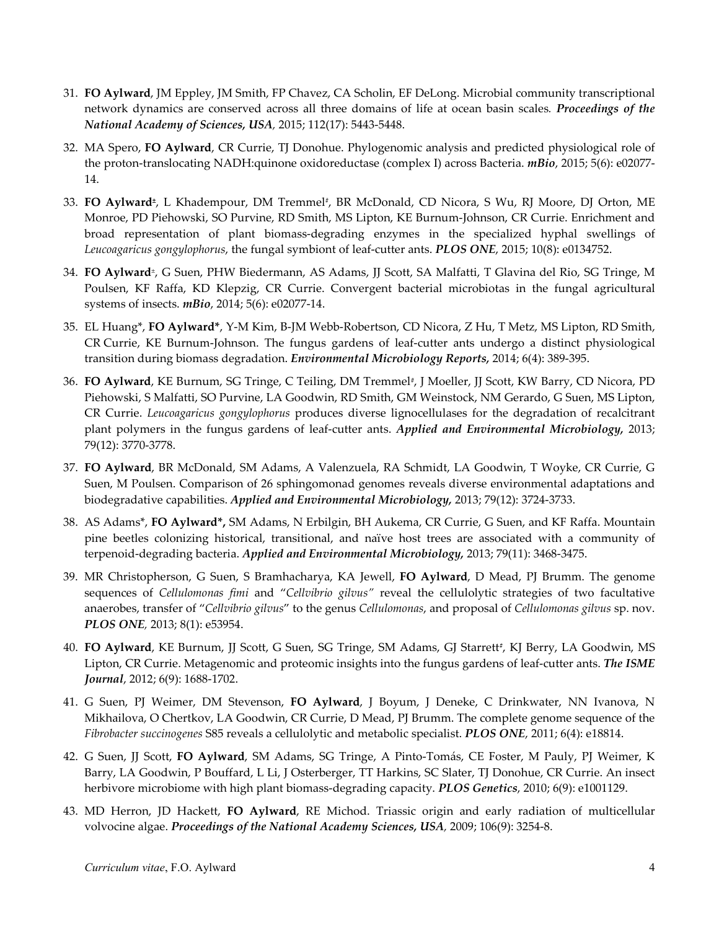- 31. **FO Aylward**, JM Eppley, JM Smith, FP Chavez, CA Scholin, EF DeLong. Microbial community transcriptional network dynamics are conserved across all three domains of life at ocean basin scales*. Proceedings of the National Academy of Sciences, USA,* 2015; 112(17): 5443-5448.
- 32. MA Spero, **FO Aylward**, CR Currie, TJ Donohue. Phylogenomic analysis and predicted physiological role of the proton-translocating NADH:quinone oxidoreductase (complex I) across Bacteria. *mBio*, 2015; 5(6): e02077- 14.
- 33. **FO Aylward***±*, L Khadempour, DM Tremmel*#*, BR McDonald, CD Nicora, S Wu, RJ Moore, DJ Orton, ME Monroe, PD Piehowski, SO Purvine, RD Smith, MS Lipton, KE Burnum-Johnson, CR Currie. Enrichment and broad representation of plant biomass-degrading enzymes in the specialized hyphal swellings of *Leucoagaricus gongylophorus*, the fungal symbiont of leaf-cutter ants. *PLOS ONE*, 2015; 10(8): e0134752.
- 34. **FO Aylward***±*, G Suen, PHW Biedermann, AS Adams, JJ Scott, SA Malfatti, T Glavina del Rio, SG Tringe, M Poulsen, KF Raffa, KD Klepzig, CR Currie. Convergent bacterial microbiotas in the fungal agricultural systems of insects. *mBio*, 2014; 5(6): e02077-14.
- 35. EL Huang\*, **FO Aylward\***, Y-M Kim, B-JM Webb-Robertson, CD Nicora, Z Hu, T Metz, MS Lipton, RD Smith, CR Currie, KE Burnum-Johnson. The fungus gardens of leaf-cutter ants undergo a distinct physiological transition during biomass degradation. *Environmental Microbiology Reports,* 2014; 6(4): 389-395.
- 36. **FO Aylward**, KE Burnum, SG Tringe, C Teiling, DM Tremmel*#*, J Moeller, JJ Scott, KW Barry, CD Nicora, PD Piehowski, S Malfatti, SO Purvine, LA Goodwin, RD Smith, GM Weinstock, NM Gerardo, G Suen, MS Lipton, CR Currie. *Leucoagaricus gongylophorus* produces diverse lignocellulases for the degradation of recalcitrant plant polymers in the fungus gardens of leaf-cutter ants. *Applied and Environmental Microbiology,* 2013; 79(12): 3770-3778.
- 37. **FO Aylward**, BR McDonald, SM Adams, A Valenzuela, RA Schmidt, LA Goodwin, T Woyke, CR Currie, G Suen, M Poulsen. Comparison of 26 sphingomonad genomes reveals diverse environmental adaptations and biodegradative capabilities. *Applied and Environmental Microbiology,* 2013; 79(12): 3724-3733.
- 38. AS Adams\*, **FO Aylward\*,** SM Adams, N Erbilgin, BH Aukema, CR Currie, G Suen, and KF Raffa. Mountain pine beetles colonizing historical, transitional, and naïve host trees are associated with a community of terpenoid-degrading bacteria. *Applied and Environmental Microbiology,* 2013; 79(11): 3468-3475.
- 39. MR Christopherson, G Suen, S Bramhacharya, KA Jewell, **FO Aylward**, D Mead, PJ Brumm. The genome sequences of *Cellulomonas fimi* and "*Cellvibrio gilvus"* reveal the cellulolytic strategies of two facultative anaerobes, transfer of "*Cellvibrio gilvus*" to the genus *Cellulomonas*, and proposal of *Cellulomonas gilvus* sp. nov. *PLOS ONE,* 2013; 8(1): e53954.
- 40. **FO Aylward**, KE Burnum, JJ Scott, G Suen, SG Tringe, SM Adams, GJ Starrett*#*, KJ Berry, LA Goodwin, MS Lipton, CR Currie. Metagenomic and proteomic insights into the fungus gardens of leaf-cutter ants. *The ISME Journal*, 2012; 6(9): 1688-1702.
- 41. G Suen, PJ Weimer, DM Stevenson, **FO Aylward**, J Boyum, J Deneke, C Drinkwater, NN Ivanova, N Mikhailova, O Chertkov, LA Goodwin, CR Currie, D Mead, PJ Brumm. The complete genome sequence of the *Fibrobacter succinogenes* S85 reveals a cellulolytic and metabolic specialist. *PLOS ONE*, 2011; 6(4): e18814.
- 42. G Suen, JJ Scott, **FO Aylward**, SM Adams, SG Tringe, A Pinto-Tomás, CE Foster, M Pauly, PJ Weimer, K Barry, LA Goodwin, P Bouffard, L Li, J Osterberger, TT Harkins, SC Slater, TJ Donohue, CR Currie. An insect herbivore microbiome with high plant biomass-degrading capacity. *PLOS Genetics*, 2010; 6(9): e1001129.
- 43. MD Herron, JD Hackett, **FO Aylward**, RE Michod. Triassic origin and early radiation of multicellular volvocine algae. *Proceedings of the National Academy Sciences, USA,* 2009; 106(9): 3254-8.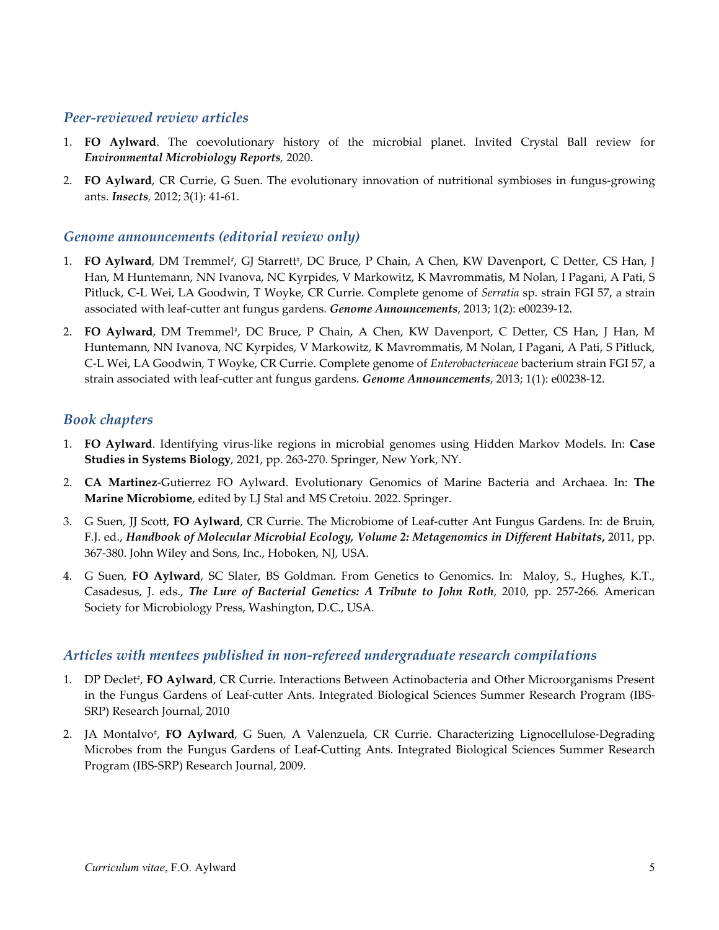## *Peer-reviewed review articles*

- 1. **FO Aylward**. The coevolutionary history of the microbial planet. Invited Crystal Ball review for *Environmental Microbiology Reports,* 2020.
- 2. **FO Aylward**, CR Currie, G Suen. The evolutionary innovation of nutritional symbioses in fungus-growing ants. *Insects,* 2012; 3(1): 41-61.

## *Genome announcements (editorial review only)*

- 1. **FO Aylward**, DM Tremmel*#*, GJ Starrett*#*, DC Bruce, P Chain, A Chen, KW Davenport, C Detter, CS Han, J Han, M Huntemann, NN Ivanova, NC Kyrpides, V Markowitz, K Mavrommatis, M Nolan, I Pagani, A Pati, S Pitluck, C-L Wei, LA Goodwin, T Woyke, CR Currie. Complete genome of *Serratia* sp. strain FGI 57, a strain associated with leaf-cutter ant fungus gardens. *Genome Announcements*, 2013; 1(2): e00239-12.
- 2. **FO Aylward**, DM Tremmel*#*, DC Bruce, P Chain, A Chen, KW Davenport, C Detter, CS Han, J Han, M Huntemann, NN Ivanova, NC Kyrpides, V Markowitz, K Mavrommatis, M Nolan, I Pagani, A Pati, S Pitluck, C-L Wei, LA Goodwin, T Woyke, CR Currie. Complete genome of *Enterobacteriaceae* bacterium strain FGI 57, a strain associated with leaf-cutter ant fungus gardens. *Genome Announcements*, 2013; 1(1): e00238-12.

## *Book chapters*

- 1. **FO Aylward**. Identifying virus-like regions in microbial genomes using Hidden Markov Models. In: **Case Studies in Systems Biology**, 2021, pp. 263-270. Springer, New York, NY.
- 2. **CA Martinez**-Gutierrez FO Aylward. Evolutionary Genomics of Marine Bacteria and Archaea. In: **The Marine Microbiome**, edited by LJ Stal and MS Cretoiu. 2022. Springer.
- 3. G Suen, JJ Scott, **FO Aylward**, CR Currie. The Microbiome of Leaf-cutter Ant Fungus Gardens. In: de Bruin, F.J. ed., *Handbook of Molecular Microbial Ecology, Volume 2: Metagenomics in Different Habitats***,** 2011, pp. 367-380. John Wiley and Sons, Inc., Hoboken, NJ, USA.
- 4. G Suen, **FO Aylward**, SC Slater, BS Goldman. From Genetics to Genomics. In: Maloy, S., Hughes, K.T., Casadesus, J. eds., *The Lure of Bacterial Genetics: A Tribute to John Roth*, 2010, pp. 257-266. American Society for Microbiology Press, Washington, D.C., USA.

## *Articles with mentees published in non-refereed undergraduate research compilations*

- 1. DP Declet*#*, **FO Aylward**, CR Currie. Interactions Between Actinobacteria and Other Microorganisms Present in the Fungus Gardens of Leaf-cutter Ants. Integrated Biological Sciences Summer Research Program (IBS-SRP) Research Journal, 2010
- 2. JA Montalvo*#*, **FO Aylward**, G Suen, A Valenzuela, CR Currie. Characterizing Lignocellulose-Degrading Microbes from the Fungus Gardens of Leaf-Cutting Ants. Integrated Biological Sciences Summer Research Program (IBS-SRP) Research Journal, 2009.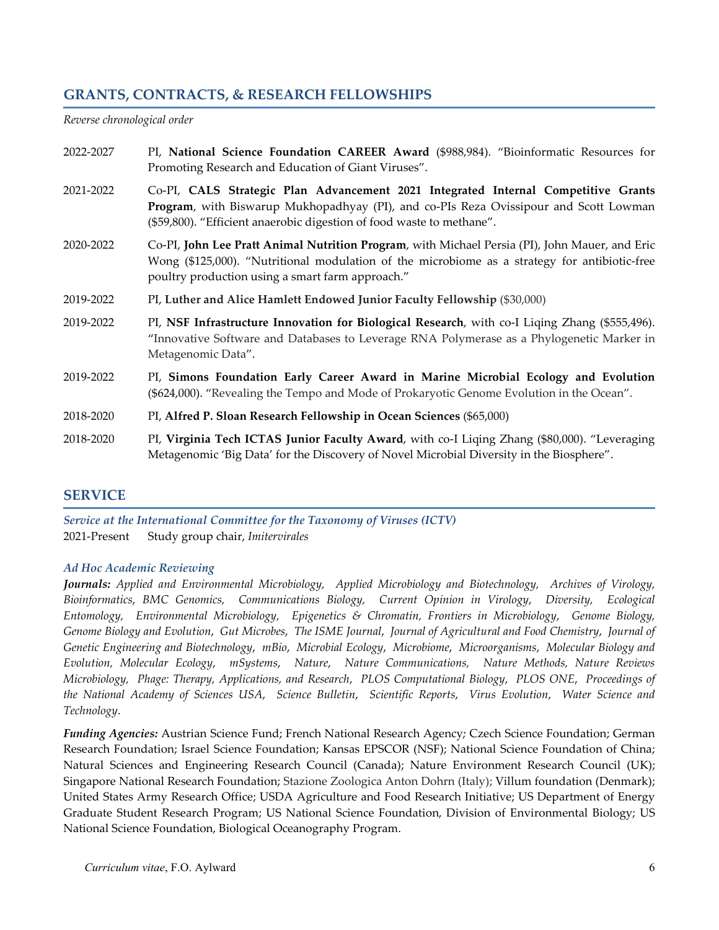## **GRANTS, CONTRACTS, & RESEARCH FELLOWSHIPS**

*Reverse chronological order*

- 2022-2027 PI, **National Science Foundation CAREER Award** (\$988,984). "Bioinformatic Resources for Promoting Research and Education of Giant Viruses".
- 2021-2022 Co-PI, **CALS Strategic Plan Advancement 2021 Integrated Internal Competitive Grants Program**, with Biswarup Mukhopadhyay (PI), and co-PIs Reza Ovissipour and Scott Lowman (\$59,800). "Efficient anaerobic digestion of food waste to methane".
- 2020-2022 Co-PI, **John Lee Pratt Animal Nutrition Program**, with Michael Persia (PI), John Mauer, and Eric Wong (\$125,000). "Nutritional modulation of the microbiome as a strategy for antibiotic-free poultry production using a smart farm approach."
- 2019-2022 PI, **Luther and Alice Hamlett Endowed Junior Faculty Fellowship** (\$30,000)
- 2019-2022 PI, **NSF Infrastructure Innovation for Biological Research**, with co-I Liqing Zhang (\$555,496). "Innovative Software and Databases to Leverage RNA Polymerase as a Phylogenetic Marker in Metagenomic Data".
- 2019-2022 PI, **Simons Foundation Early Career Award in Marine Microbial Ecology and Evolution**  (\$624,000). "Revealing the Tempo and Mode of Prokaryotic Genome Evolution in the Ocean".
- 2018-2020 PI, **Alfred P. Sloan Research Fellowship in Ocean Sciences** (\$65,000)
- 2018-2020 PI, **Virginia Tech ICTAS Junior Faculty Award**, with co-I Liqing Zhang (\$80,000). "Leveraging Metagenomic 'Big Data' for the Discovery of Novel Microbial Diversity in the Biosphere".

#### **SERVICE**

*Service at the International Committee for the Taxonomy of Viruses (ICTV)* 2021-Present Study group chair, *Imitervirales*

#### *Ad Hoc Academic Reviewing*

*Journals: Applied and Environmental Microbiology, Applied Microbiology and Biotechnology, Archives of Virology, Bioinformatics*, *BMC Genomics, Communications Biology, Current Opinion in Virology*, *Diversity, Ecological Entomology, Environmental Microbiology, Epigenetics & Chromatin, Frontiers in Microbiology*, *Genome Biology, Genome Biology and Evolution*, *Gut Microbes*, *The ISME Journal*, *Journal of Agricultural and Food Chemistry*, *Journal of Genetic Engineering and Biotechnology*, *mBio*, *Microbial Ecology*, *Microbiome*, *Microorganisms*, *Molecular Biology and Evolution, Molecular Ecology*, *mSystems*, *Nature*, *Nature Communications, Nature Methods, Nature Reviews Microbiology, Phage: Therapy, Applications, and Research*, *PLOS Computational Biology*, *PLOS ONE*, *Proceedings of the National Academy of Sciences USA*, *Science Bulletin*, *Scientific Reports*, *Virus Evolution*, *Water Science and Technology*.

*Funding Agencies:* Austrian Science Fund; French National Research Agency*;* Czech Science Foundation; German Research Foundation; Israel Science Foundation; Kansas EPSCOR (NSF); National Science Foundation of China; Natural Sciences and Engineering Research Council (Canada); Nature Environment Research Council (UK); Singapore National Research Foundation; Stazione Zoologica Anton Dohrn (Italy); Villum foundation (Denmark); United States Army Research Office; USDA Agriculture and Food Research Initiative; US Department of Energy Graduate Student Research Program; US National Science Foundation, Division of Environmental Biology; US National Science Foundation, Biological Oceanography Program.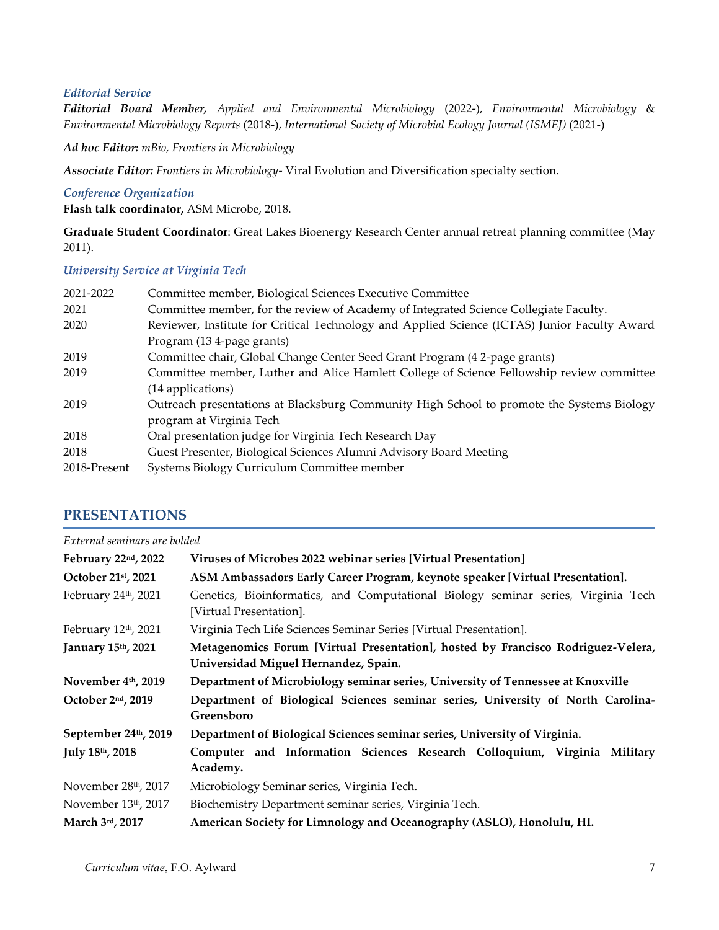#### *Editorial Service*

*Editorial Board Member, Applied and Environmental Microbiology* (2022-), *Environmental Microbiology* & *Environmental Microbiology Reports* (2018-), *International Society of Microbial Ecology Journal (ISMEJ)* (2021-)

*Ad hoc Editor: mBio, Frontiers in Microbiology*

*Associate Editor: Frontiers in Microbiology-* Viral Evolution and Diversification specialty section.

#### *Conference Organization*

**Flash talk coordinator,** ASM Microbe, 2018.

**Graduate Student Coordinator**: Great Lakes Bioenergy Research Center annual retreat planning committee (May 2011).

#### *University Service at Virginia Tech*

| Committee member, Biological Sciences Executive Committee                                    |  |
|----------------------------------------------------------------------------------------------|--|
| Committee member, for the review of Academy of Integrated Science Collegiate Faculty.        |  |
| Reviewer, Institute for Critical Technology and Applied Science (ICTAS) Junior Faculty Award |  |
| Program (13 4-page grants)                                                                   |  |
| Committee chair, Global Change Center Seed Grant Program (4 2-page grants)                   |  |
| Committee member, Luther and Alice Hamlett College of Science Fellowship review committee    |  |
| (14 applications)                                                                            |  |
| Outreach presentations at Blacksburg Community High School to promote the Systems Biology    |  |
| program at Virginia Tech                                                                     |  |
| Oral presentation judge for Virginia Tech Research Day                                       |  |
| Guest Presenter, Biological Sciences Alumni Advisory Board Meeting                           |  |
| Systems Biology Curriculum Committee member                                                  |  |
|                                                                                              |  |

#### **PRESENTATIONS**

| External seminars are bolded |                                                                                                                          |  |
|------------------------------|--------------------------------------------------------------------------------------------------------------------------|--|
| February 22nd, 2022          | Viruses of Microbes 2022 webinar series [Virtual Presentation]                                                           |  |
| October 21st, 2021           | ASM Ambassadors Early Career Program, keynote speaker [Virtual Presentation].                                            |  |
| February 24th, 2021          | Genetics, Bioinformatics, and Computational Biology seminar series, Virginia Tech<br>[Virtual Presentation].             |  |
| February 12th, 2021          | Virginia Tech Life Sciences Seminar Series [Virtual Presentation].                                                       |  |
| January 15th, 2021           | Metagenomics Forum [Virtual Presentation], hosted by Francisco Rodriguez-Velera,<br>Universidad Miguel Hernandez, Spain. |  |
| November 4th, 2019           | Department of Microbiology seminar series, University of Tennessee at Knoxville                                          |  |
| October 2nd, 2019            | Department of Biological Sciences seminar series, University of North Carolina-<br>Greensboro                            |  |
| September 24th, 2019         | Department of Biological Sciences seminar series, University of Virginia.                                                |  |
| July 18th, 2018              | Computer and Information Sciences Research Colloquium, Virginia Military<br>Academy.                                     |  |
| November 28th, 2017          | Microbiology Seminar series, Virginia Tech.                                                                              |  |
| November 13th, 2017          | Biochemistry Department seminar series, Virginia Tech.                                                                   |  |
| March 3rd, 2017              | American Society for Limnology and Oceanography (ASLO), Honolulu, HI.                                                    |  |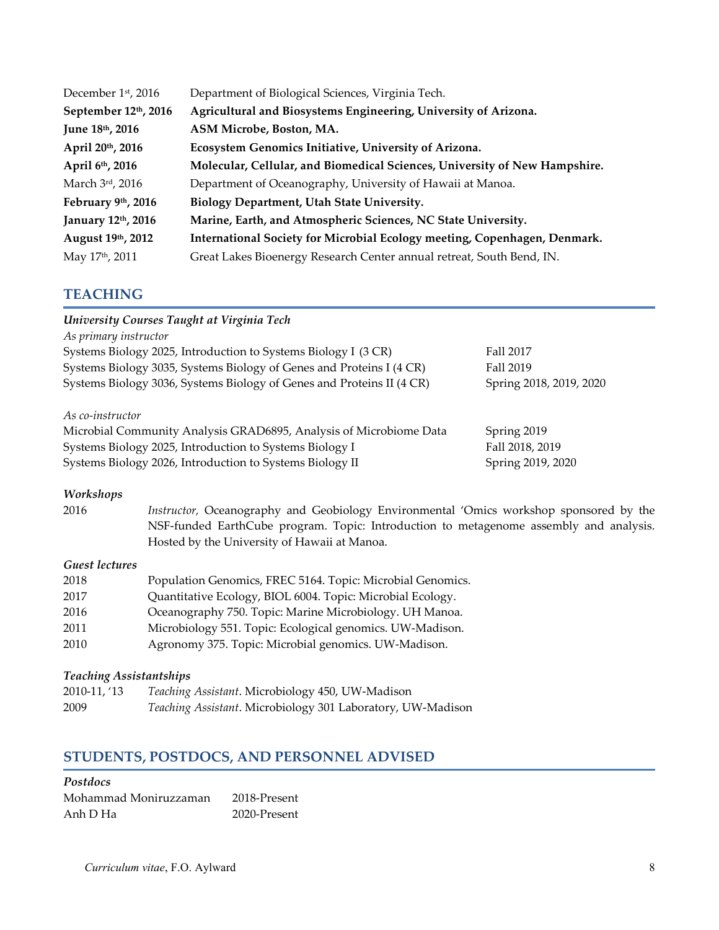| December 1st, 2016   | Department of Biological Sciences, Virginia Tech.                          |  |
|----------------------|----------------------------------------------------------------------------|--|
| September 12th, 2016 | Agricultural and Biosystems Engineering, University of Arizona.            |  |
| June 18th, 2016      | ASM Microbe, Boston, MA.                                                   |  |
| April 20th, 2016     | Ecosystem Genomics Initiative, University of Arizona.                      |  |
| April 6th, 2016      | Molecular, Cellular, and Biomedical Sciences, University of New Hampshire. |  |
| March 3rd, 2016      | Department of Oceanography, University of Hawaii at Manoa.                 |  |
| February 9th, 2016   | <b>Biology Department, Utah State University.</b>                          |  |
| January 12th, 2016   | Marine, Earth, and Atmospheric Sciences, NC State University.              |  |
| August 19th, 2012    | International Society for Microbial Ecology meeting, Copenhagen, Denmark.  |  |
| May 17th, 2011       | Great Lakes Bioenergy Research Center annual retreat, South Bend, IN.      |  |

## **TEACHING**

| University Courses Taught at Virginia Tech                                  |                         |  |  |
|-----------------------------------------------------------------------------|-------------------------|--|--|
| As primary instructor                                                       |                         |  |  |
| Systems Biology 2025, Introduction to Systems Biology I (3 CR)<br>Fall 2017 |                         |  |  |
| Systems Biology 3035, Systems Biology of Genes and Proteins I (4 CR)        | Fall 2019               |  |  |
| Systems Biology 3036, Systems Biology of Genes and Proteins II (4 CR)       | Spring 2018, 2019, 2020 |  |  |
| As co-instructor                                                            |                         |  |  |
| Microbial Community Analysis GRAD6895, Analysis of Microbiome Data          | Spring 2019             |  |  |
| Fall 2018, 2019<br>Systems Biology 2025, Introduction to Systems Biology I  |                         |  |  |
| Systems Biology 2026, Introduction to Systems Biology II                    | Spring 2019, 2020       |  |  |

#### *Workshops*

2016 *Instructor,* Oceanography and Geobiology Environmental 'Omics workshop sponsored by the NSF-funded EarthCube program. Topic: Introduction to metagenome assembly and analysis. Hosted by the University of Hawaii at Manoa.

#### *Guest lectures*

| 2018 | Population Genomics, FREC 5164. Topic: Microbial Genomics. |
|------|------------------------------------------------------------|
| 2017 | Quantitative Ecology, BIOL 6004. Topic: Microbial Ecology. |
| 2016 | Oceanography 750. Topic: Marine Microbiology. UH Manoa.    |
| 2011 | Microbiology 551. Topic: Ecological genomics. UW-Madison.  |
| 2010 | Agronomy 375. Topic: Microbial genomics. UW-Madison.       |

## *Teaching Assistantships*

| 2010-11, '13 | Teaching Assistant. Microbiology 450, UW-Madison            |
|--------------|-------------------------------------------------------------|
| 2009         | Teaching Assistant. Microbiology 301 Laboratory, UW-Madison |

# **STUDENTS, POSTDOCS, AND PERSONNEL ADVISED**

#### *Postdocs*

| Mohammad Moniruzzaman | 2018-Present |
|-----------------------|--------------|
| Anh D Ha              | 2020-Present |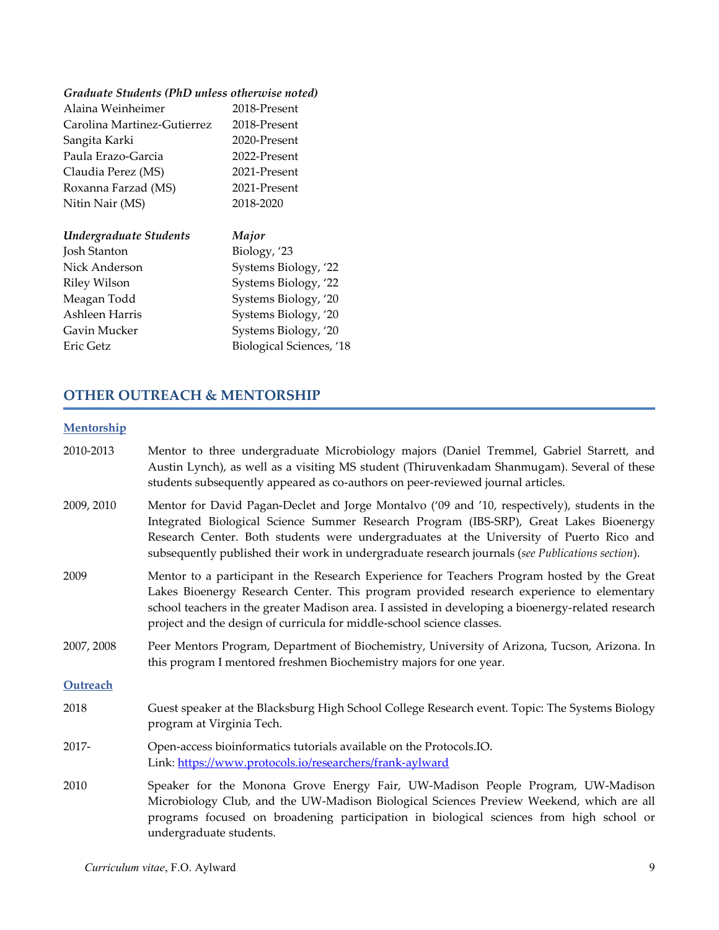## *Graduate Students (PhD unless otherwise noted)*

| Alaina Weinheimer           | 2018-Present         |
|-----------------------------|----------------------|
| Carolina Martinez-Gutierrez | 2018-Present         |
| Sangita Karki               | 2020-Present         |
| Paula Erazo-Garcia          | 2022-Present         |
| Claudia Perez (MS)          | 2021-Present         |
| Roxanna Farzad (MS)         | 2021-Present         |
| Nitin Nair (MS)             | 2018-2020            |
| Undergraduate Students      | Major                |
| Josh Stanton                | Biology, '23         |
| Nick Anderson               | Systems Biology, '22 |
| Riley Wilson                | Systems Biology, '22 |
|                             |                      |

| кие у тибли    | $O$ v signified $O(O \leq y)$ , $\angle$ |
|----------------|------------------------------------------|
| Meagan Todd    | Systems Biology, '20                     |
| Ashleen Harris | Systems Biology, '20                     |
| Gavin Mucker   | Systems Biology, '20                     |
| Eric Getz      | Biological Sciences, '18                 |

# **OTHER OUTREACH & MENTORSHIP**

## **Mentorship**

| 2010-2013  | Mentor to three undergraduate Microbiology majors (Daniel Tremmel, Gabriel Starrett, and<br>Austin Lynch), as well as a visiting MS student (Thiruvenkadam Shanmugam). Several of these<br>students subsequently appeared as co-authors on peer-reviewed journal articles.                                                                                                             |
|------------|----------------------------------------------------------------------------------------------------------------------------------------------------------------------------------------------------------------------------------------------------------------------------------------------------------------------------------------------------------------------------------------|
| 2009, 2010 | Mentor for David Pagan-Declet and Jorge Montalvo ('09 and '10, respectively), students in the<br>Integrated Biological Science Summer Research Program (IBS-SRP), Great Lakes Bioenergy<br>Research Center. Both students were undergraduates at the University of Puerto Rico and<br>subsequently published their work in undergraduate research journals (see Publications section). |
| 2009       | Mentor to a participant in the Research Experience for Teachers Program hosted by the Great<br>Lakes Bioenergy Research Center. This program provided research experience to elementary<br>school teachers in the greater Madison area. I assisted in developing a bioenergy-related research<br>project and the design of curricula for middle-school science classes.                |
| 2007, 2008 | Peer Mentors Program, Department of Biochemistry, University of Arizona, Tucson, Arizona. In<br>this program I mentored freshmen Biochemistry majors for one year.                                                                                                                                                                                                                     |
| Outreach   |                                                                                                                                                                                                                                                                                                                                                                                        |
| 2018       | Guest speaker at the Blacksburg High School College Research event. Topic: The Systems Biology<br>program at Virginia Tech.                                                                                                                                                                                                                                                            |
| 2017-      | Open-access bioinformatics tutorials available on the Protocols.IO.<br>Link: https://www.protocols.io/researchers/frank-aylward                                                                                                                                                                                                                                                        |
| 2010       | Speaker for the Monona Grove Energy Fair, UW-Madison People Program, UW-Madison<br>Microbiology Club, and the UW-Madison Biological Sciences Preview Weekend, which are all<br>programs focused on broadening participation in biological sciences from high school or<br>undergraduate students.                                                                                      |